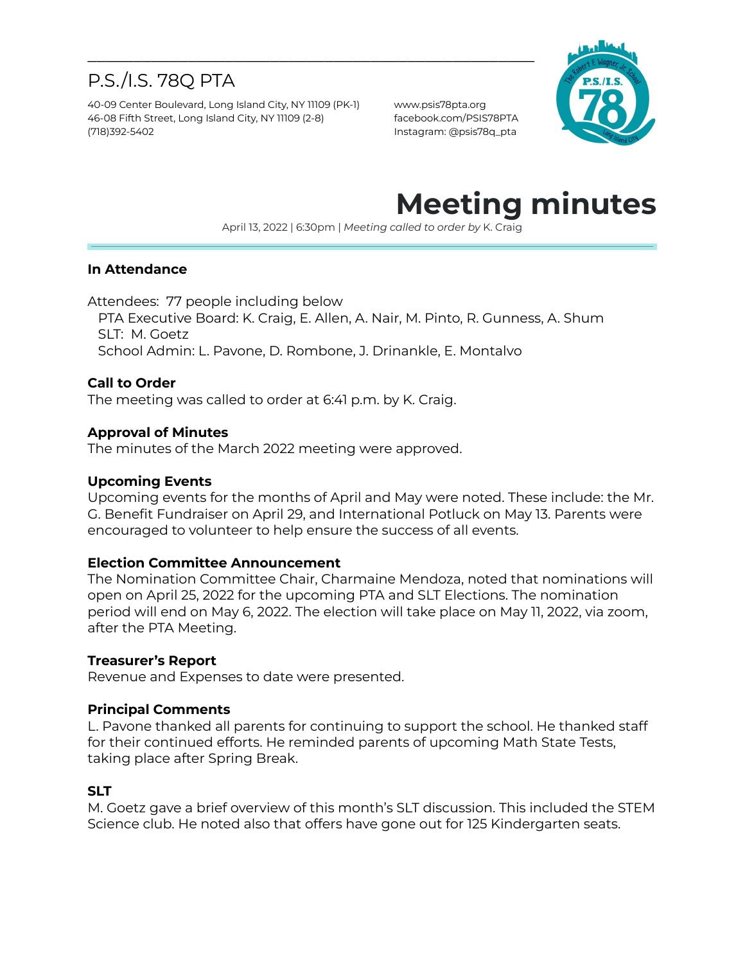## P.S./I.S. 78Q PTA

40-09 Center Boulevard, Long Island City, NY 11109 (PK-1) www.psis78pta.org 46-08 Fifth Street, Long Island City, NY 11109 (2-8) facebook.com/PSIS78PTA (718)392-5402 Instagram: @psis78q\_pta



# **Meeting minutes**

April 13, 2022 | 6:30pm | *Meeting called to order by* K. Craig

#### **In Attendance**

Attendees: 77 people including below

PTA Executive Board: K. Craig, E. Allen, A. Nair, M. Pinto, R. Gunness, A. Shum SLT: M. Goetz

School Admin: L. Pavone, D. Rombone, J. Drinankle, E. Montalvo

\_\_\_\_\_\_\_\_\_\_\_\_\_\_\_\_\_\_\_\_\_\_\_\_\_\_\_\_\_\_\_\_\_\_\_\_\_\_\_\_\_\_\_\_\_\_\_\_\_

#### **Call to Order**

The meeting was called to order at 6:41 p.m. by K. Craig.

#### **Approval of Minutes**

The minutes of the March 2022 meeting were approved.

#### **Upcoming Events**

Upcoming events for the months of April and May were noted. These include: the Mr. G. Benefit Fundraiser on April 29, and International Potluck on May 13. Parents were encouraged to volunteer to help ensure the success of all events.

#### **Election Committee Announcement**

The Nomination Committee Chair, Charmaine Mendoza, noted that nominations will open on April 25, 2022 for the upcoming PTA and SLT Elections. The nomination period will end on May 6, 2022. The election will take place on May 11, 2022, via zoom, after the PTA Meeting.

#### **Treasurer's Report**

Revenue and Expenses to date were presented.

#### **Principal Comments**

L. Pavone thanked all parents for continuing to support the school. He thanked staff for their continued efforts. He reminded parents of upcoming Math State Tests, taking place after Spring Break.

#### **SLT**

M. Goetz gave a brief overview of this month's SLT discussion. This included the STEM Science club. He noted also that offers have gone out for 125 Kindergarten seats.